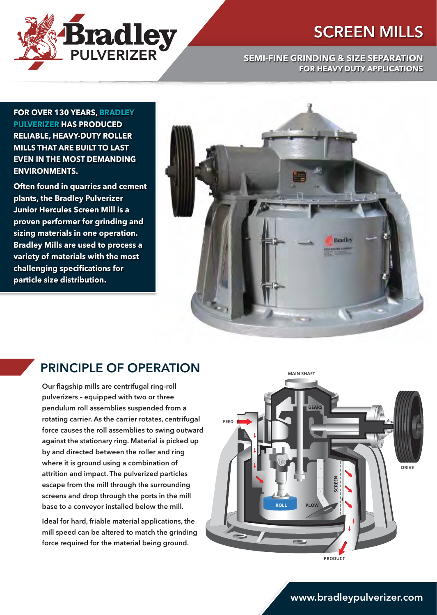



#### **SEMI-FINE GRINDING & SIZE SEPARATION FOR HEAVY DUTY APPLICATIONS**

**FOR OVER 130 YEARS, BRADLEY PULVERIZER HAS PRODUCED RELIABLE, HEAVY-DUTY ROLLER MILLS THAT ARE BUILT TO LAST EVEN IN THE MOST DEMANDING ENVIRONMENTS.**

**Often found in quarries and cement plants, the Bradley Pulverizer Junior Hercules Screen Mill is a proven performer for grinding and sizing materials in one operation. Bradley Mills are used to process a variety of materials with the most challenging specifications for particle size distribution.**



#### PRINCIPLE OF OPERATION

Our flagship mills are centrifugal ring-roll pulverizers – equipped with two or three pendulum roll assemblies suspended from a rotating carrier. As the carrier rotates, centrifugal force causes the roll assemblies to swing outward against the stationary ring. Material is picked up by and directed between the roller and ring where it is ground using a combination of attrition and impact. The pulverized particles escape from the mill through the surrounding screens and drop through the ports in the mill base to a conveyor installed below the mill.

Ideal for hard, friable material applications, the mill speed can be altered to match the grinding force required for the material being ground.



www.bradleypulverizer.com